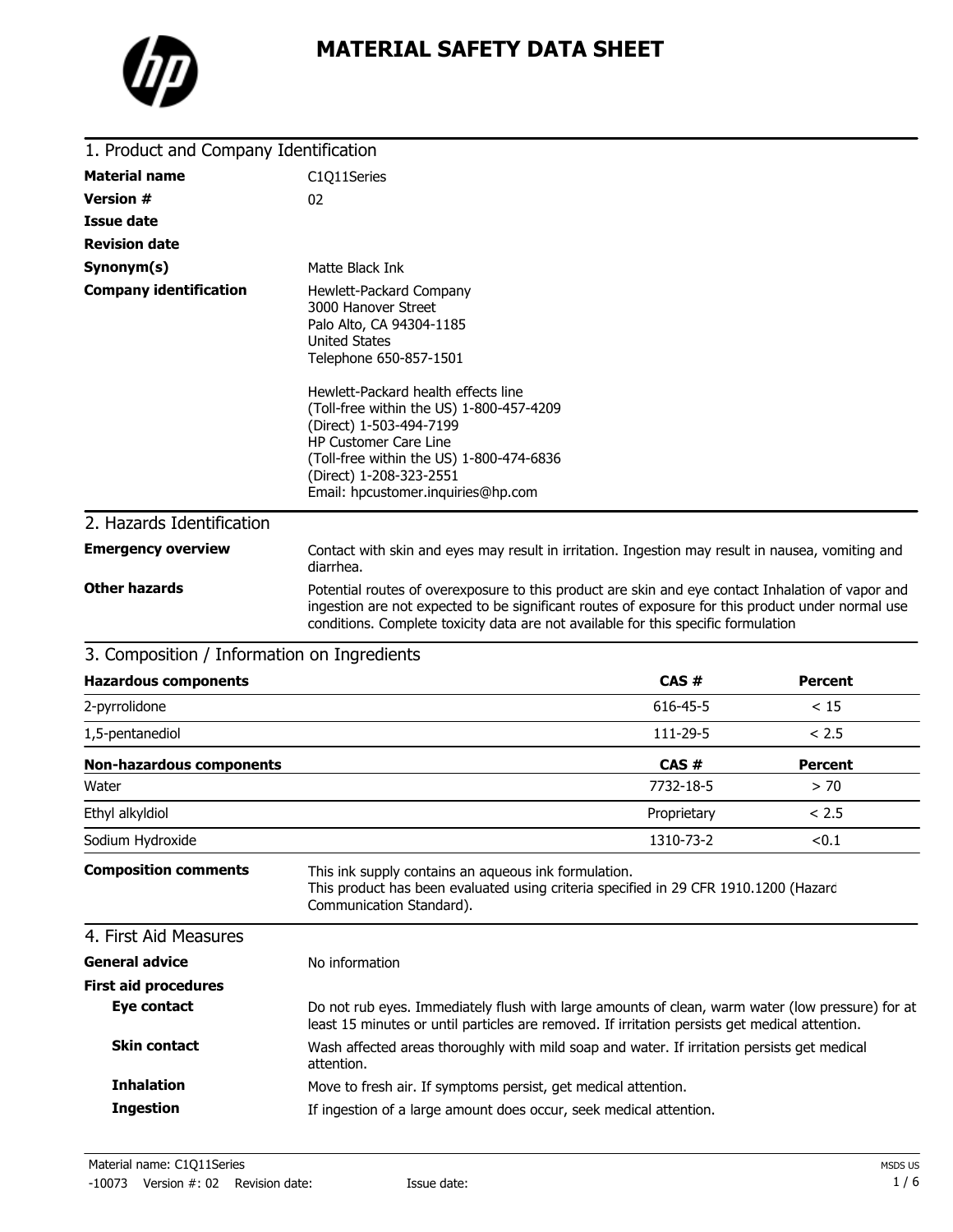

| 1. Product and Company Identification       |                                                                                                                                                                                                                                                                                                                                                                                         |
|---------------------------------------------|-----------------------------------------------------------------------------------------------------------------------------------------------------------------------------------------------------------------------------------------------------------------------------------------------------------------------------------------------------------------------------------------|
| <b>Material name</b>                        | C1Q11Series                                                                                                                                                                                                                                                                                                                                                                             |
| <b>Version #</b>                            | 02                                                                                                                                                                                                                                                                                                                                                                                      |
| <b>Issue date</b>                           |                                                                                                                                                                                                                                                                                                                                                                                         |
| <b>Revision date</b>                        |                                                                                                                                                                                                                                                                                                                                                                                         |
| Synonym(s)                                  | Matte Black Ink                                                                                                                                                                                                                                                                                                                                                                         |
| <b>Company identification</b>               | Hewlett-Packard Company<br>3000 Hanover Street<br>Palo Alto, CA 94304-1185<br><b>United States</b><br>Telephone 650-857-1501<br>Hewlett-Packard health effects line<br>(Toll-free within the US) 1-800-457-4209<br>(Direct) 1-503-494-7199<br><b>HP Customer Care Line</b><br>(Toll-free within the US) 1-800-474-6836<br>(Direct) 1-208-323-2551<br>Email: hpcustomer.inquiries@hp.com |
| 2. Hazards Identification                   |                                                                                                                                                                                                                                                                                                                                                                                         |
| <b>Emergency overview</b>                   | Contact with skin and eyes may result in irritation. Ingestion may result in nausea, vomiting and<br>diarrhea.                                                                                                                                                                                                                                                                          |
| <b>Other hazards</b>                        | Potential routes of overexposure to this product are skin and eye contact Inhalation of vapor and<br>ingestion are not expected to be significant routes of exposure for this product under normal use<br>conditions. Complete toxicity data are not available for this specific formulation                                                                                            |
| 3. Composition / Information on Ingredients |                                                                                                                                                                                                                                                                                                                                                                                         |

| s. composition , mnomiation on marcalchts                                                                                                                                                          |                                 |                |
|----------------------------------------------------------------------------------------------------------------------------------------------------------------------------------------------------|---------------------------------|----------------|
| <b>Hazardous components</b>                                                                                                                                                                        |                                 | <b>Percent</b> |
|                                                                                                                                                                                                    | 616-45-5                        | < 15           |
|                                                                                                                                                                                                    | 111-29-5                        | < 2.5          |
|                                                                                                                                                                                                    | CAS#                            | <b>Percent</b> |
|                                                                                                                                                                                                    | 7732-18-5                       | > 70           |
|                                                                                                                                                                                                    | Proprietary                     | < 2.5          |
|                                                                                                                                                                                                    | 1310-73-2                       | < 0.1          |
| This ink supply contains an aqueous ink formulation.<br>This product has been evaluated using criteria specified in 29 CFR 1910.1200 (Hazard<br>Communication Standard).                           |                                 |                |
|                                                                                                                                                                                                    |                                 |                |
| No information                                                                                                                                                                                     |                                 |                |
|                                                                                                                                                                                                    |                                 |                |
| Do not rub eyes. Immediately flush with large amounts of clean, warm water (low pressure) for at<br>least 15 minutes or until particles are removed. If irritation persists get medical attention. |                                 |                |
| Wash affected areas thoroughly with mild soap and water. If irritation persists get medical<br>attention.                                                                                          |                                 |                |
| Move to fresh air. If symptoms persist, get medical attention.                                                                                                                                     |                                 |                |
| If ingestion of a large amount does occur, seek medical attention.                                                                                                                                 |                                 |                |
|                                                                                                                                                                                                    | <b>Non-hazardous components</b> | CAS#           |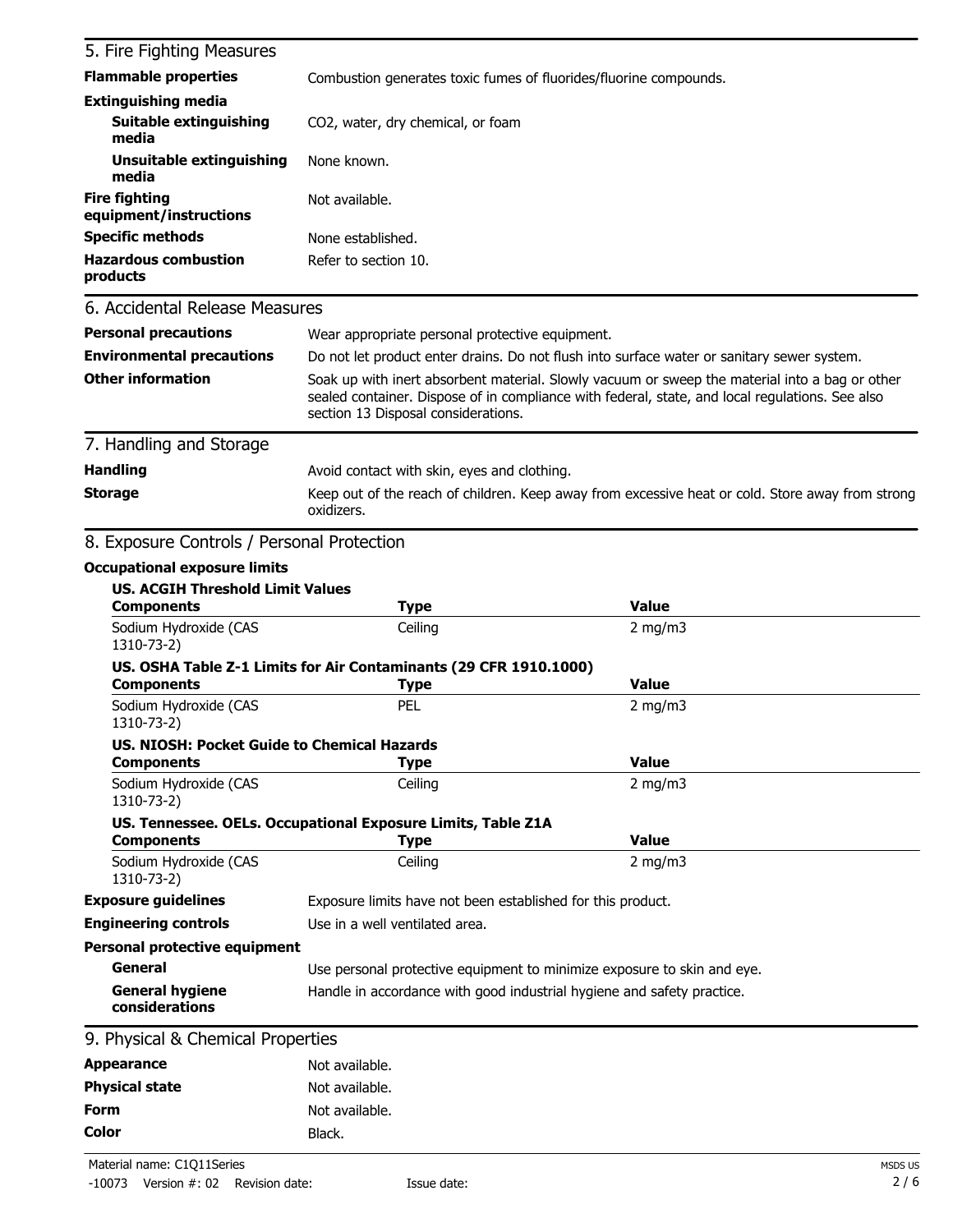| 5. Fire Fighting Measures                      |                                                                                                                                                                                                                                          |                                                                                                  |  |
|------------------------------------------------|------------------------------------------------------------------------------------------------------------------------------------------------------------------------------------------------------------------------------------------|--------------------------------------------------------------------------------------------------|--|
| <b>Flammable properties</b>                    | Combustion generates toxic fumes of fluorides/fluorine compounds.                                                                                                                                                                        |                                                                                                  |  |
| <b>Extinguishing media</b>                     |                                                                                                                                                                                                                                          |                                                                                                  |  |
| <b>Suitable extinguishing</b><br>media         | CO2, water, dry chemical, or foam                                                                                                                                                                                                        |                                                                                                  |  |
| Unsuitable extinguishing<br>media              | None known.                                                                                                                                                                                                                              |                                                                                                  |  |
| <b>Fire fighting</b><br>equipment/instructions | Not available.                                                                                                                                                                                                                           |                                                                                                  |  |
| <b>Specific methods</b>                        | None established.                                                                                                                                                                                                                        |                                                                                                  |  |
| <b>Hazardous combustion</b><br>products        | Refer to section 10.                                                                                                                                                                                                                     |                                                                                                  |  |
| 6. Accidental Release Measures                 |                                                                                                                                                                                                                                          |                                                                                                  |  |
| <b>Personal precautions</b>                    | Wear appropriate personal protective equipment.                                                                                                                                                                                          |                                                                                                  |  |
| <b>Environmental precautions</b>               |                                                                                                                                                                                                                                          | Do not let product enter drains. Do not flush into surface water or sanitary sewer system.       |  |
| <b>Other information</b>                       | Soak up with inert absorbent material. Slowly vacuum or sweep the material into a bag or other<br>sealed container. Dispose of in compliance with federal, state, and local regulations. See also<br>section 13 Disposal considerations. |                                                                                                  |  |
| 7. Handling and Storage                        |                                                                                                                                                                                                                                          |                                                                                                  |  |
| <b>Handling</b>                                | Avoid contact with skin, eyes and clothing.                                                                                                                                                                                              |                                                                                                  |  |
| <b>Storage</b>                                 |                                                                                                                                                                                                                                          | Keep out of the reach of children. Keep away from excessive heat or cold. Store away from strong |  |
|                                                | oxidizers.                                                                                                                                                                                                                               |                                                                                                  |  |
| 8. Exposure Controls / Personal Protection     |                                                                                                                                                                                                                                          |                                                                                                  |  |
| <b>Occupational exposure limits</b>            |                                                                                                                                                                                                                                          |                                                                                                  |  |
| <b>US. ACGIH Threshold Limit Values</b>        |                                                                                                                                                                                                                                          |                                                                                                  |  |
| <b>Components</b>                              | <b>Type</b>                                                                                                                                                                                                                              | <b>Value</b>                                                                                     |  |
| Sodium Hydroxide (CAS<br>1310-73-2)            | Ceiling                                                                                                                                                                                                                                  | $2$ mg/m $3$                                                                                     |  |
|                                                | US. OSHA Table Z-1 Limits for Air Contaminants (29 CFR 1910.1000)                                                                                                                                                                        |                                                                                                  |  |
| <b>Components</b>                              | <b>Type</b>                                                                                                                                                                                                                              | <b>Value</b>                                                                                     |  |
| Sodium Hydroxide (CAS<br>1310-73-2)            | PEL                                                                                                                                                                                                                                      | $2$ mg/m $3$                                                                                     |  |
| US. NIOSH: Pocket Guide to Chemical Hazards    |                                                                                                                                                                                                                                          |                                                                                                  |  |
| <b>Components</b>                              | Type                                                                                                                                                                                                                                     | <b>Value</b>                                                                                     |  |
| Sodium Hydroxide (CAS<br>1310-73-2)            | Ceiling                                                                                                                                                                                                                                  | $2$ mg/m $3$                                                                                     |  |
| <b>Components</b>                              | US. Tennessee. OELs. Occupational Exposure Limits, Table Z1A                                                                                                                                                                             | <b>Value</b>                                                                                     |  |
| Sodium Hydroxide (CAS                          | <b>Type</b><br>Ceiling                                                                                                                                                                                                                   | 2 mg/m $3$                                                                                       |  |
| 1310-73-2)                                     |                                                                                                                                                                                                                                          |                                                                                                  |  |
| <b>Exposure guidelines</b>                     | Exposure limits have not been established for this product.                                                                                                                                                                              |                                                                                                  |  |
| <b>Engineering controls</b>                    | Use in a well ventilated area.                                                                                                                                                                                                           |                                                                                                  |  |
| <b>Personal protective equipment</b>           |                                                                                                                                                                                                                                          |                                                                                                  |  |
| General                                        | Use personal protective equipment to minimize exposure to skin and eye.                                                                                                                                                                  |                                                                                                  |  |
| <b>General hygiene</b><br>considerations       | Handle in accordance with good industrial hygiene and safety practice.                                                                                                                                                                   |                                                                                                  |  |
| 9. Physical & Chemical Properties              |                                                                                                                                                                                                                                          |                                                                                                  |  |
| <b>Appearance</b>                              | Not available.                                                                                                                                                                                                                           |                                                                                                  |  |
| <b>Physical state</b>                          | Not available.                                                                                                                                                                                                                           |                                                                                                  |  |
| <b>Form</b>                                    | Not available.                                                                                                                                                                                                                           |                                                                                                  |  |
| <b>Color</b>                                   | Black.                                                                                                                                                                                                                                   |                                                                                                  |  |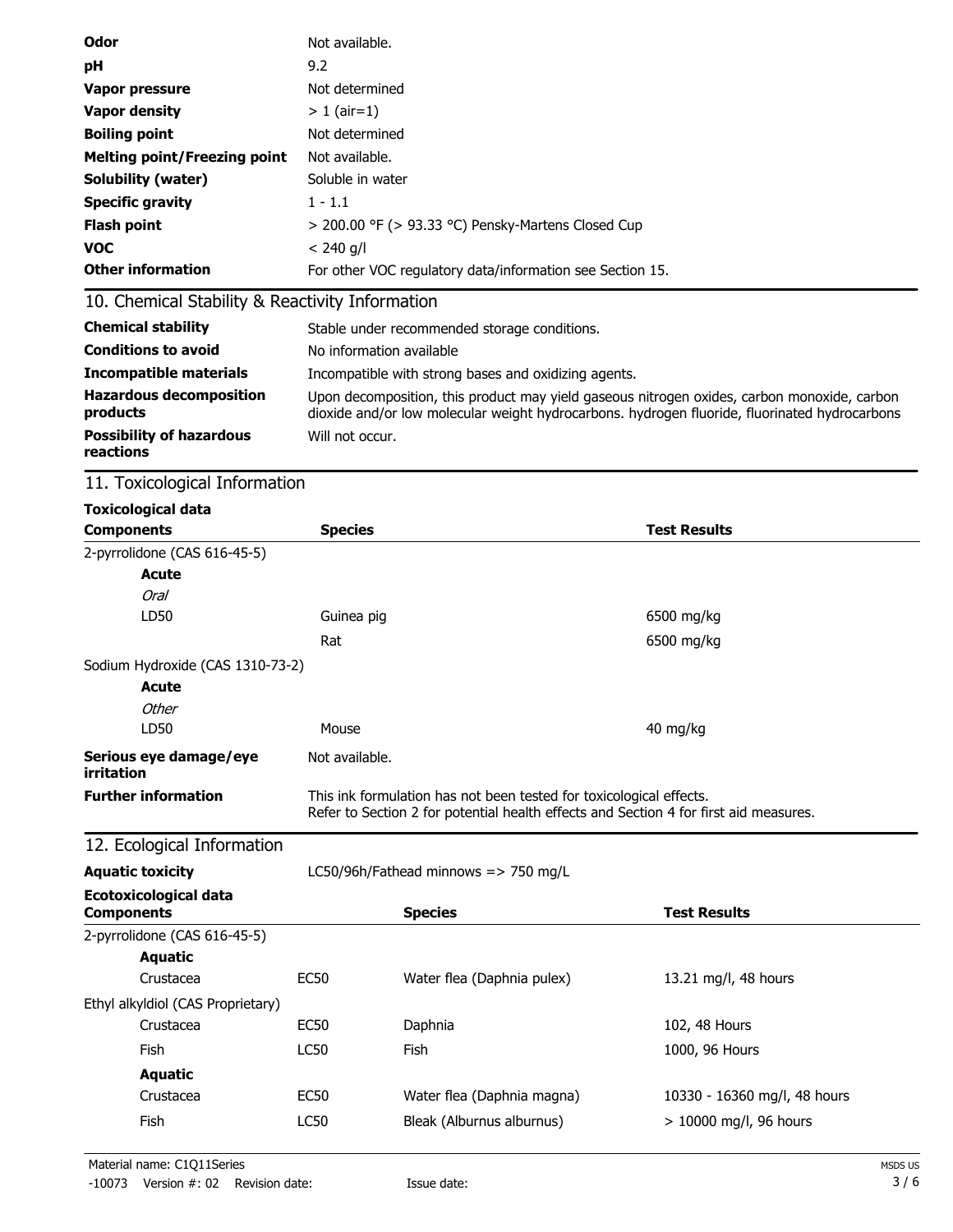| <b>Odor</b>                         | Not available.                                            |
|-------------------------------------|-----------------------------------------------------------|
| pH                                  | 9.2                                                       |
| <b>Vapor pressure</b>               | Not determined                                            |
| <b>Vapor density</b>                | $> 1$ (air=1)                                             |
| <b>Boiling point</b>                | Not determined                                            |
| <b>Melting point/Freezing point</b> | Not available.                                            |
| <b>Solubility (water)</b>           | Soluble in water                                          |
| <b>Specific gravity</b>             | $1 - 1.1$                                                 |
| <b>Flash point</b>                  | $>$ 200.00 °F ( $>$ 93.33 °C) Pensky-Martens Closed Cup   |
| <b>VOC</b>                          | $< 240$ g/l                                               |
| <b>Other information</b>            | For other VOC regulatory data/information see Section 15. |

## 10. Chemical Stability & Reactivity Information

| <b>Chemical stability</b>                    | Stable under recommended storage conditions.                                                                                                                                                 |
|----------------------------------------------|----------------------------------------------------------------------------------------------------------------------------------------------------------------------------------------------|
| <b>Conditions to avoid</b>                   | No information available                                                                                                                                                                     |
| <b>Incompatible materials</b>                | Incompatible with strong bases and oxidizing agents.                                                                                                                                         |
| <b>Hazardous decomposition</b><br>products   | Upon decomposition, this product may yield gaseous nitrogen oxides, carbon monoxide, carbon<br>dioxide and/or low molecular weight hydrocarbons. hydrogen fluoride, fluorinated hydrocarbons |
| <b>Possibility of hazardous</b><br>reactions | Will not occur.                                                                                                                                                                              |

## 11. Toxicological Information

| <b>Toxicological data</b>                         |                |                                                                                                                                                              |                              |
|---------------------------------------------------|----------------|--------------------------------------------------------------------------------------------------------------------------------------------------------------|------------------------------|
| <b>Components</b>                                 | <b>Species</b> |                                                                                                                                                              | <b>Test Results</b>          |
| 2-pyrrolidone (CAS 616-45-5)                      |                |                                                                                                                                                              |                              |
| <b>Acute</b>                                      |                |                                                                                                                                                              |                              |
| <b>Oral</b>                                       |                |                                                                                                                                                              |                              |
| LD50                                              | Guinea pig     |                                                                                                                                                              | 6500 mg/kg                   |
|                                                   | Rat            |                                                                                                                                                              | 6500 mg/kg                   |
| Sodium Hydroxide (CAS 1310-73-2)                  |                |                                                                                                                                                              |                              |
| <b>Acute</b>                                      |                |                                                                                                                                                              |                              |
| Other                                             |                |                                                                                                                                                              |                              |
| LD50                                              | Mouse          |                                                                                                                                                              | 40 mg/kg                     |
| Serious eye damage/eye<br>irritation              | Not available. |                                                                                                                                                              |                              |
| <b>Further information</b>                        |                | This ink formulation has not been tested for toxicological effects.<br>Refer to Section 2 for potential health effects and Section 4 for first aid measures. |                              |
| 12. Ecological Information                        |                |                                                                                                                                                              |                              |
| <b>Aquatic toxicity</b>                           |                | LC50/96h/Fathead minnows => 750 mg/L                                                                                                                         |                              |
| <b>Ecotoxicological data</b><br><b>Components</b> |                | <b>Species</b>                                                                                                                                               | <b>Test Results</b>          |
| 2-pyrrolidone (CAS 616-45-5)                      |                |                                                                                                                                                              |                              |
| <b>Aquatic</b>                                    |                |                                                                                                                                                              |                              |
| Crustacea                                         | <b>EC50</b>    | Water flea (Daphnia pulex)                                                                                                                                   | 13.21 mg/l, 48 hours         |
| Ethyl alkyldiol (CAS Proprietary)                 |                |                                                                                                                                                              |                              |
| Crustacea                                         | <b>EC50</b>    | Daphnia                                                                                                                                                      | 102, 48 Hours                |
| Fish                                              | <b>LC50</b>    | Fish                                                                                                                                                         | 1000, 96 Hours               |
| <b>Aquatic</b>                                    |                |                                                                                                                                                              |                              |
| Crustacea                                         | <b>EC50</b>    | Water flea (Daphnia magna)                                                                                                                                   | 10330 - 16360 mg/l, 48 hours |
| <b>Fish</b>                                       | <b>LC50</b>    | Bleak (Alburnus alburnus)                                                                                                                                    | > 10000 mg/l, 96 hours       |
|                                                   |                |                                                                                                                                                              |                              |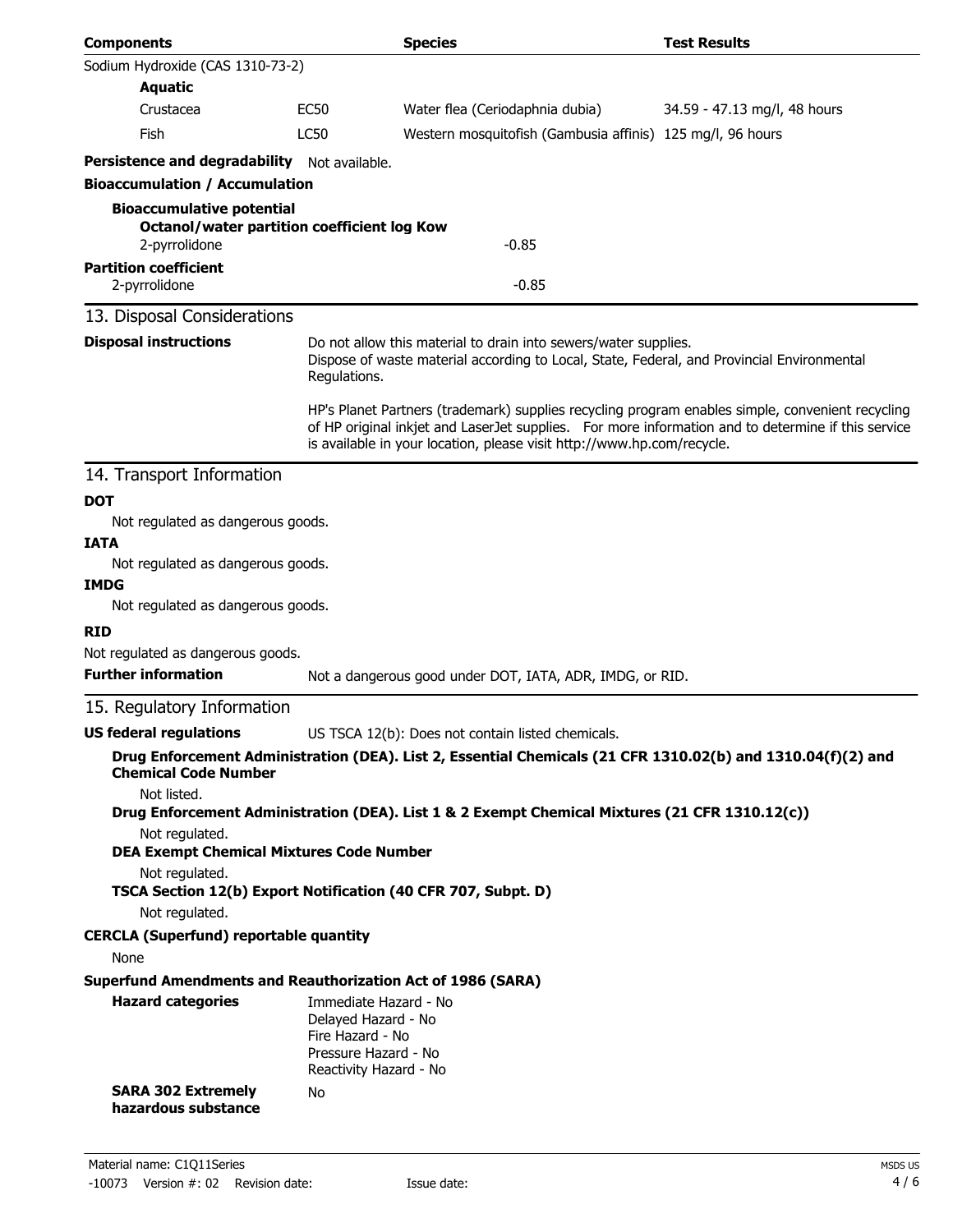| <b>Components</b>                                                                                                                                                                                             |                                                                                                                                                                                                                                                                                  | <b>Species</b>                                                                                              | <b>Test Results</b>          |
|---------------------------------------------------------------------------------------------------------------------------------------------------------------------------------------------------------------|----------------------------------------------------------------------------------------------------------------------------------------------------------------------------------------------------------------------------------------------------------------------------------|-------------------------------------------------------------------------------------------------------------|------------------------------|
| Sodium Hydroxide (CAS 1310-73-2)                                                                                                                                                                              |                                                                                                                                                                                                                                                                                  |                                                                                                             |                              |
| <b>Aquatic</b>                                                                                                                                                                                                |                                                                                                                                                                                                                                                                                  |                                                                                                             |                              |
| Crustacea                                                                                                                                                                                                     | <b>EC50</b>                                                                                                                                                                                                                                                                      | Water flea (Ceriodaphnia dubia)                                                                             | 34.59 - 47.13 mg/l, 48 hours |
| Fish                                                                                                                                                                                                          | LC50                                                                                                                                                                                                                                                                             | Western mosquitofish (Gambusia affinis) 125 mg/l, 96 hours                                                  |                              |
| Persistence and degradability Not available.                                                                                                                                                                  |                                                                                                                                                                                                                                                                                  |                                                                                                             |                              |
| <b>Bioaccumulation / Accumulation</b>                                                                                                                                                                         |                                                                                                                                                                                                                                                                                  |                                                                                                             |                              |
| <b>Bioaccumulative potential</b><br><b>Octanol/water partition coefficient log Kow</b><br>2-pyrrolidone                                                                                                       |                                                                                                                                                                                                                                                                                  | $-0.85$                                                                                                     |                              |
| <b>Partition coefficient</b>                                                                                                                                                                                  |                                                                                                                                                                                                                                                                                  |                                                                                                             |                              |
| 2-pyrrolidone                                                                                                                                                                                                 | $-0.85$                                                                                                                                                                                                                                                                          |                                                                                                             |                              |
| 13. Disposal Considerations                                                                                                                                                                                   |                                                                                                                                                                                                                                                                                  |                                                                                                             |                              |
| <b>Disposal instructions</b><br>Do not allow this material to drain into sewers/water supplies.<br>Dispose of waste material according to Local, State, Federal, and Provincial Environmental<br>Regulations. |                                                                                                                                                                                                                                                                                  |                                                                                                             |                              |
|                                                                                                                                                                                                               | HP's Planet Partners (trademark) supplies recycling program enables simple, convenient recycling<br>of HP original inkjet and LaserJet supplies. For more information and to determine if this service<br>is available in your location, please visit http://www.hp.com/recycle. |                                                                                                             |                              |
| 14. Transport Information                                                                                                                                                                                     |                                                                                                                                                                                                                                                                                  |                                                                                                             |                              |
| <b>DOT</b>                                                                                                                                                                                                    |                                                                                                                                                                                                                                                                                  |                                                                                                             |                              |
| Not regulated as dangerous goods.                                                                                                                                                                             |                                                                                                                                                                                                                                                                                  |                                                                                                             |                              |
| <b>IATA</b>                                                                                                                                                                                                   |                                                                                                                                                                                                                                                                                  |                                                                                                             |                              |
| Not regulated as dangerous goods.                                                                                                                                                                             |                                                                                                                                                                                                                                                                                  |                                                                                                             |                              |
| <b>IMDG</b><br>Not regulated as dangerous goods.                                                                                                                                                              |                                                                                                                                                                                                                                                                                  |                                                                                                             |                              |
|                                                                                                                                                                                                               |                                                                                                                                                                                                                                                                                  |                                                                                                             |                              |
| <b>RID</b><br>Not regulated as dangerous goods.                                                                                                                                                               |                                                                                                                                                                                                                                                                                  |                                                                                                             |                              |
| <b>Further information</b>                                                                                                                                                                                    |                                                                                                                                                                                                                                                                                  | Not a dangerous good under DOT, IATA, ADR, IMDG, or RID.                                                    |                              |
| 15. Regulatory Information                                                                                                                                                                                    |                                                                                                                                                                                                                                                                                  |                                                                                                             |                              |
| US federal regulations                                                                                                                                                                                        |                                                                                                                                                                                                                                                                                  | US TSCA 12(b): Does not contain listed chemicals.                                                           |                              |
| <b>Chemical Code Number</b>                                                                                                                                                                                   |                                                                                                                                                                                                                                                                                  | Drug Enforcement Administration (DEA). List 2, Essential Chemicals (21 CFR 1310.02(b) and 1310.04(f)(2) and |                              |
| Not listed.                                                                                                                                                                                                   |                                                                                                                                                                                                                                                                                  | Drug Enforcement Administration (DEA). List 1 & 2 Exempt Chemical Mixtures (21 CFR 1310.12(c))              |                              |
| Not regulated.<br><b>DEA Exempt Chemical Mixtures Code Number</b>                                                                                                                                             |                                                                                                                                                                                                                                                                                  |                                                                                                             |                              |
| Not regulated.<br>TSCA Section 12(b) Export Notification (40 CFR 707, Subpt. D)                                                                                                                               |                                                                                                                                                                                                                                                                                  |                                                                                                             |                              |
| Not regulated.                                                                                                                                                                                                |                                                                                                                                                                                                                                                                                  |                                                                                                             |                              |
| <b>CERCLA (Superfund) reportable quantity</b>                                                                                                                                                                 |                                                                                                                                                                                                                                                                                  |                                                                                                             |                              |
| None                                                                                                                                                                                                          |                                                                                                                                                                                                                                                                                  |                                                                                                             |                              |
| <b>Superfund Amendments and Reauthorization Act of 1986 (SARA)</b>                                                                                                                                            |                                                                                                                                                                                                                                                                                  |                                                                                                             |                              |
| <b>Hazard categories</b>                                                                                                                                                                                      | Immediate Hazard - No<br>Delayed Hazard - No<br>Fire Hazard - No<br>Pressure Hazard - No<br>Reactivity Hazard - No                                                                                                                                                               |                                                                                                             |                              |
| <b>SARA 302 Extremely</b><br>hazardous substance                                                                                                                                                              | No                                                                                                                                                                                                                                                                               |                                                                                                             |                              |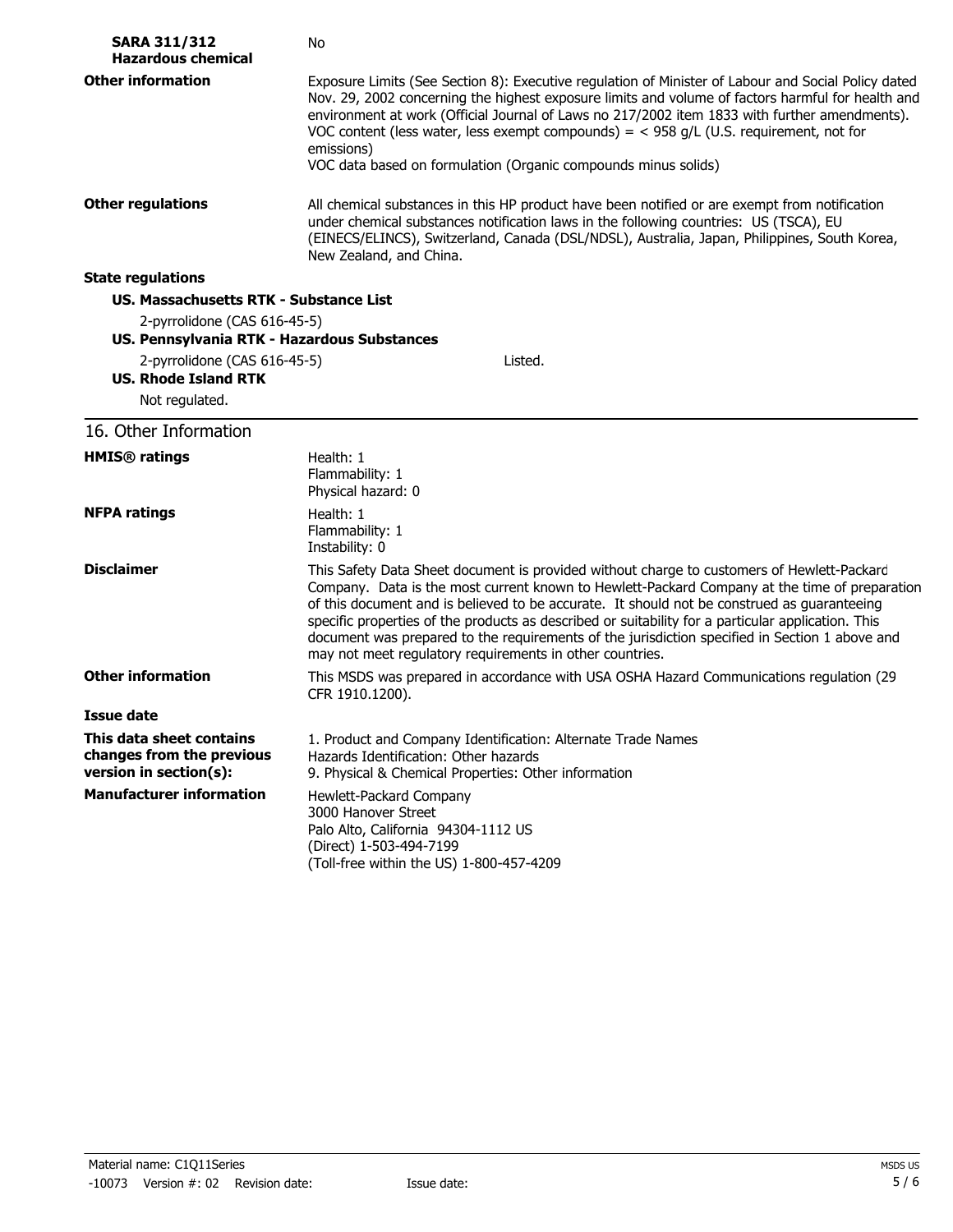| <b>SARA 311/312</b><br><b>Hazardous chemical</b>                                | No                                                                                                                                                                                                                                                                                                                                                                                                                                                                                                                                                             |
|---------------------------------------------------------------------------------|----------------------------------------------------------------------------------------------------------------------------------------------------------------------------------------------------------------------------------------------------------------------------------------------------------------------------------------------------------------------------------------------------------------------------------------------------------------------------------------------------------------------------------------------------------------|
| <b>Other information</b>                                                        | Exposure Limits (See Section 8): Executive regulation of Minister of Labour and Social Policy dated<br>Nov. 29, 2002 concerning the highest exposure limits and volume of factors harmful for health and<br>environment at work (Official Journal of Laws no 217/2002 item 1833 with further amendments).<br>VOC content (less water, less exempt compounds) = $<$ 958 g/L (U.S. requirement, not for<br>emissions)<br>VOC data based on formulation (Organic compounds minus solids)                                                                          |
| <b>Other regulations</b>                                                        | All chemical substances in this HP product have been notified or are exempt from notification<br>under chemical substances notification laws in the following countries: US (TSCA), EU<br>(EINECS/ELINCS), Switzerland, Canada (DSL/NDSL), Australia, Japan, Philippines, South Korea,<br>New Zealand, and China.                                                                                                                                                                                                                                              |
| <b>State regulations</b>                                                        |                                                                                                                                                                                                                                                                                                                                                                                                                                                                                                                                                                |
| US. Massachusetts RTK - Substance List                                          |                                                                                                                                                                                                                                                                                                                                                                                                                                                                                                                                                                |
| 2-pyrrolidone (CAS 616-45-5)<br>US. Pennsylvania RTK - Hazardous Substances     |                                                                                                                                                                                                                                                                                                                                                                                                                                                                                                                                                                |
| 2-pyrrolidone (CAS 616-45-5)<br><b>US. Rhode Island RTK</b><br>Not regulated.   | Listed.                                                                                                                                                                                                                                                                                                                                                                                                                                                                                                                                                        |
| 16. Other Information                                                           |                                                                                                                                                                                                                                                                                                                                                                                                                                                                                                                                                                |
| <b>HMIS®</b> ratings                                                            | Health: 1<br>Flammability: 1<br>Physical hazard: 0                                                                                                                                                                                                                                                                                                                                                                                                                                                                                                             |
| <b>NFPA ratings</b>                                                             | Health: 1<br>Flammability: 1<br>Instability: 0                                                                                                                                                                                                                                                                                                                                                                                                                                                                                                                 |
| <b>Disclaimer</b>                                                               | This Safety Data Sheet document is provided without charge to customers of Hewlett-Packard<br>Company. Data is the most current known to Hewlett-Packard Company at the time of preparation<br>of this document and is believed to be accurate. It should not be construed as guaranteeing<br>specific properties of the products as described or suitability for a particular application. This<br>document was prepared to the requirements of the jurisdiction specified in Section 1 above and<br>may not meet regulatory requirements in other countries. |
| <b>Other information</b>                                                        | This MSDS was prepared in accordance with USA OSHA Hazard Communications regulation (29<br>CFR 1910.1200).                                                                                                                                                                                                                                                                                                                                                                                                                                                     |
| Issue date                                                                      |                                                                                                                                                                                                                                                                                                                                                                                                                                                                                                                                                                |
| This data sheet contains<br>changes from the previous<br>version in section(s): | 1. Product and Company Identification: Alternate Trade Names<br>Hazards Identification: Other hazards<br>9. Physical & Chemical Properties: Other information                                                                                                                                                                                                                                                                                                                                                                                                  |
| <b>Manufacturer information</b>                                                 | Hewlett-Packard Company<br>3000 Hanover Street<br>Palo Alto, California 94304-1112 US<br>(Direct) 1-503-494-7199<br>(Toll-free within the US) 1-800-457-4209                                                                                                                                                                                                                                                                                                                                                                                                   |